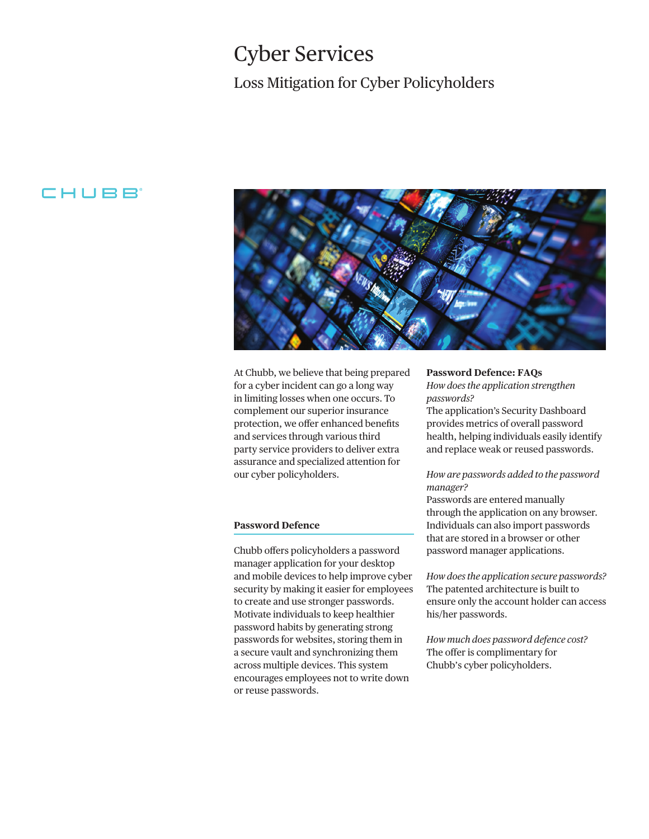# Loss Mitigation for Cyber Policyholders Cyber Services

# CHUBB



At Chubb, we believe that being prepared for a cyber incident can go a long way in limiting losses when one occurs. To complement our superior insurance protection, we offer enhanced benefits and services through various third party service providers to deliver extra assurance and specialized attention for our cyber policyholders.

## **Password Defence**

Chubb ofers policyholders a password manager application for your desktop and mobile devices to help improve cyber security by making it easier for employees to create and use stronger passwords. Motivate individuals to keep healthier password habits by generating strong passwords for websites, storing them in a secure vault and synchronizing them across multiple devices. This system encourages employees not to write down or reuse passwords.

## **Password Defence: FAQs**

*How does the application strengthen passwords?* 

The application's Security Dashboard provides metrics of overall password health, helping individuals easily identify and replace weak or reused passwords.

# *How are passwords added to the password manager?*

Passwords are entered manually through the application on any browser. Individuals can also import passwords that are stored in a browser or other password manager applications.

*How does the application secure passwords?*  The patented architecture is built to ensure only the account holder can access his/her passwords.

*How much does password defence cost?*  The offer is complimentary for Chubb's cyber policyholders.